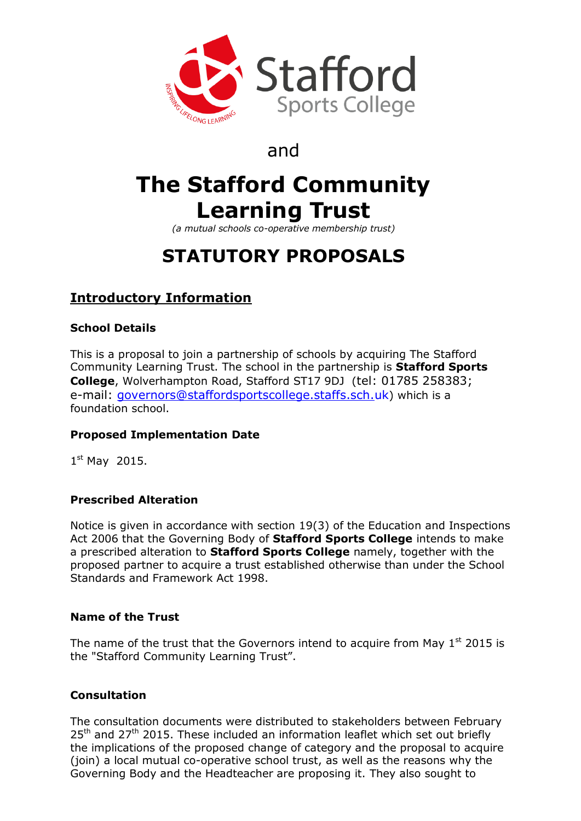

# and

# **The Stafford Community Learning Trust**

*(a mutual schools co-operative membership trust)*

# **STATUTORY PROPOSALS**

# **Introductory Information**

## **School Details**

This is a proposal to join a partnership of schools by acquiring The Stafford Community Learning Trust. The school in the partnership is **Stafford Sports College**, Wolverhampton Road, Stafford ST17 9DJ (tel: 01785 258383; e-mail: [governors@staffordsportscollege.staffs.sch.uk](mailto:governors@staffordsportscollege.staffs.sch.uk)) which is a foundation school.

## **Proposed Implementation Date**

1st May 2015.

## **Prescribed Alteration**

Notice is given in accordance with section 19(3) of the Education and Inspections Act 2006 that the Governing Body of **Stafford Sports College** intends to make a prescribed alteration to **Stafford Sports College** namely, together with the proposed partner to acquire a trust established otherwise than under the School Standards and Framework Act 1998.

## **Name of the Trust**

The name of the trust that the Governors intend to acquire from May  $1<sup>st</sup>$  2015 is the "Stafford Community Learning Trust".

## **Consultation**

The consultation documents were distributed to stakeholders between February  $25<sup>th</sup>$  and  $27<sup>th</sup>$  2015. These included an information leaflet which set out briefly the implications of the proposed change of category and the proposal to acquire (join) a local mutual co-operative school trust, as well as the reasons why the Governing Body and the Headteacher are proposing it. They also sought to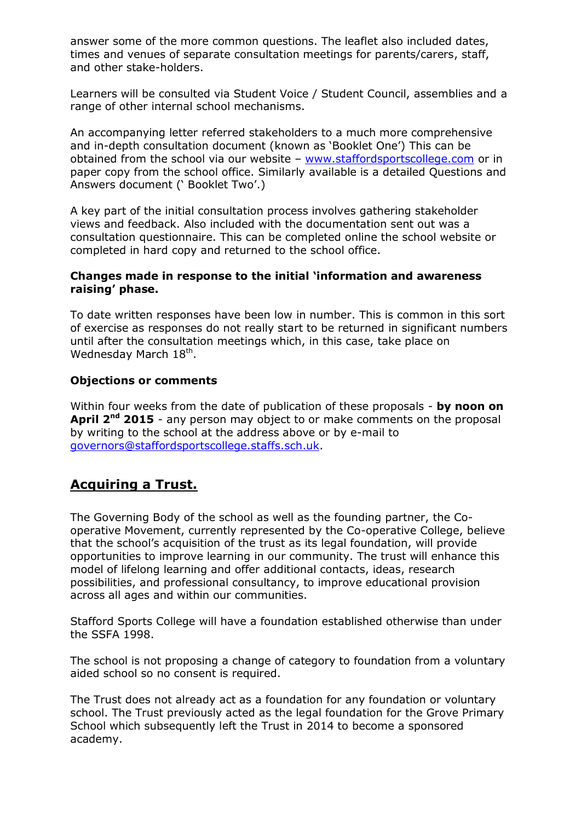answer some of the more common questions. The leaflet also included dates, times and venues of separate consultation meetings for parents/carers, staff, and other stake-holders.

Learners will be consulted via Student Voice / Student Council, assemblies and a range of other internal school mechanisms.

An accompanying letter referred stakeholders to a much more comprehensive and in-depth consultation document (known as 'Booklet One') This can be obtained from the school via our website - [www.staffordsportscollege.com](http://www.staffordsportscollege.com/) or in paper copy from the school office. Similarly available is a detailed Questions and Answers document (' Booklet Two'.)

A key part of the initial consultation process involves gathering stakeholder views and feedback. Also included with the documentation sent out was a consultation questionnaire. This can be completed online the school website or completed in hard copy and returned to the school office.

#### **Changes made in response to the initial 'information and awareness raising' phase.**

To date written responses have been low in number. This is common in this sort of exercise as responses do not really start to be returned in significant numbers until after the consultation meetings which, in this case, take place on Wednesday March 18<sup>th</sup>.

#### **Objections or comments**

Within four weeks from the date of publication of these proposals - **by noon on April 2nd 2015** - any person may object to or make comments on the proposal by writing to the school at the address above or by e-mail to [governors@staffordsportscollege.staffs.sch.uk.](mailto:governors@staffordsportscollege.staffs.sch.uk)

## **Acquiring a Trust.**

The Governing Body of the school as well as the founding partner, the Cooperative Movement, currently represented by the Co-operative College, believe that the school's acquisition of the trust as its legal foundation, will provide opportunities to improve learning in our community. The trust will enhance this model of lifelong learning and offer additional contacts, ideas, research possibilities, and professional consultancy, to improve educational provision across all ages and within our communities.

Stafford Sports College will have a foundation established otherwise than under the SSFA 1998.

The school is not proposing a change of category to foundation from a voluntary aided school so no consent is required.

The Trust does not already act as a foundation for any foundation or voluntary school. The Trust previously acted as the legal foundation for the Grove Primary School which subsequently left the Trust in 2014 to become a sponsored academy.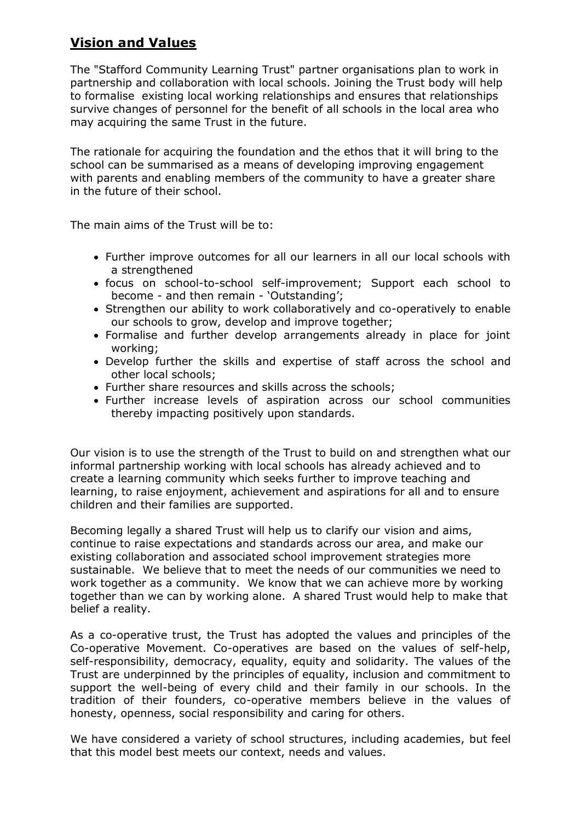# **Vision and Values**

The "Stafford Community Learning Trust" partner organisations plan to work in partnership and collaboration with local schools. Joining the Trust body will help to formalise existing local working relationships and ensures that relationships survive changes of personnel for the benefit of all schools in the local area who may acquiring the same Trust in the future.

The rationale for acquiring the foundation and the ethos that it will bring to the school can be summarised as a means of developing improving engagement with parents and enabling members of the community to have a greater share in the future of their school.

The main aims of the Trust will be to:

- Further improve outcomes for all our learners in all our local schools with a strengthened
- focus on school-to-school self-improvement; Support each school to become - and then remain - 'Outstanding';
- Strengthen our ability to work collaboratively and co-operatively to enable our schools to grow, develop and improve together;
- Formalise and further develop arrangements already in place for joint working;
- Develop further the skills and expertise of staff across the school and other local schools;
- Further share resources and skills across the schools;
- Further increase levels of aspiration across our school communities thereby impacting positively upon standards.

Our vision is to use the strength of the Trust to build on and strengthen what our informal partnership working with local schools has already achieved and to create a learning community which seeks further to improve teaching and learning, to raise enjoyment, achievement and aspirations for all and to ensure children and their families are supported.

Becoming legally a shared Trust will help us to clarify our vision and aims, continue to raise expectations and standards across our area, and make our existing collaboration and associated school improvement strategies more sustainable. We believe that to meet the needs of our communities we need to work together as a community. We know that we can achieve more by working together than we can by working alone. A shared Trust would help to make that belief a reality.

As a co-operative trust, the Trust has adopted the values and principles of the Co-operative Movement. Co-operatives are based on the values of self-help, self-responsibility, democracy, equality, equity and solidarity. The values of the Trust are underpinned by the principles of equality, inclusion and commitment to support the well-being of every child and their family in our schools. In the tradition of their founders, co-operative members believe in the values of honesty, openness, social responsibility and caring for others.

We have considered a variety of school structures, including academies, but feel that this model best meets our context, needs and values.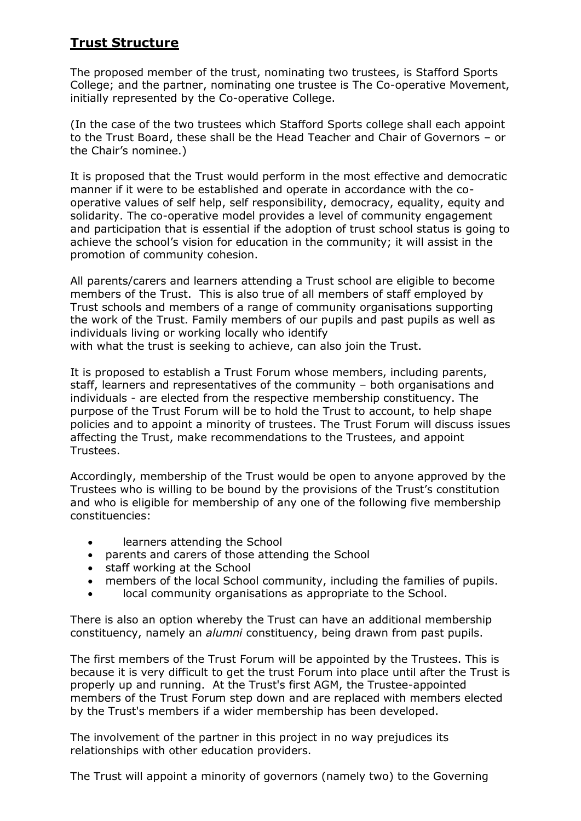# **Trust Structure**

The proposed member of the trust, nominating two trustees, is Stafford Sports College; and the partner, nominating one trustee is The Co-operative Movement, initially represented by the Co-operative College.

(In the case of the two trustees which Stafford Sports college shall each appoint to the Trust Board, these shall be the Head Teacher and Chair of Governors – or the Chair's nominee.)

It is proposed that the Trust would perform in the most effective and democratic manner if it were to be established and operate in accordance with the cooperative values of self help, self responsibility, democracy, equality, equity and solidarity. The co-operative model provides a level of community engagement and participation that is essential if the adoption of trust school status is going to achieve the school's vision for education in the community; it will assist in the promotion of community cohesion.

All parents/carers and learners attending a Trust school are eligible to become members of the Trust. This is also true of all members of staff employed by Trust schools and members of a range of community organisations supporting the work of the Trust. Family members of our pupils and past pupils as well as individuals living or working locally who identify with what the trust is seeking to achieve, can also join the Trust.

It is proposed to establish a Trust Forum whose members, including parents, staff, learners and representatives of the community – both organisations and individuals - are elected from the respective membership constituency. The purpose of the Trust Forum will be to hold the Trust to account, to help shape policies and to appoint a minority of trustees. The Trust Forum will discuss issues affecting the Trust, make recommendations to the Trustees, and appoint Trustees.

Accordingly, membership of the Trust would be open to anyone approved by the Trustees who is willing to be bound by the provisions of the Trust's constitution and who is eligible for membership of any one of the following five membership constituencies:

- learners attending the School
- parents and carers of those attending the School
- staff working at the School
- members of the local School community, including the families of pupils.
- local community organisations as appropriate to the School.

There is also an option whereby the Trust can have an additional membership constituency, namely an *alumni* constituency, being drawn from past pupils.

The first members of the Trust Forum will be appointed by the Trustees. This is because it is very difficult to get the trust Forum into place until after the Trust is properly up and running. At the Trust's first AGM, the Trustee-appointed members of the Trust Forum step down and are replaced with members elected by the Trust's members if a wider membership has been developed.

The involvement of the partner in this project in no way prejudices its relationships with other education providers.

The Trust will appoint a minority of governors (namely two) to the Governing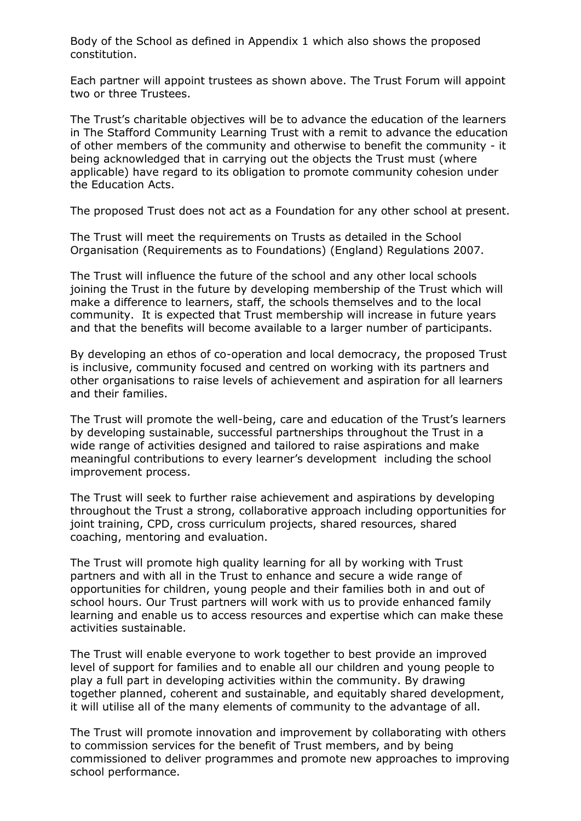Body of the School as defined in Appendix 1 which also shows the proposed constitution.

Each partner will appoint trustees as shown above. The Trust Forum will appoint two or three Trustees.

The Trust's charitable objectives will be to advance the education of the learners in The Stafford Community Learning Trust with a remit to advance the education of other members of the community and otherwise to benefit the community - it being acknowledged that in carrying out the objects the Trust must (where applicable) have regard to its obligation to promote community cohesion under the Education Acts.

The proposed Trust does not act as a Foundation for any other school at present.

The Trust will meet the requirements on Trusts as detailed in the School Organisation (Requirements as to Foundations) (England) Regulations 2007.

The Trust will influence the future of the school and any other local schools joining the Trust in the future by developing membership of the Trust which will make a difference to learners, staff, the schools themselves and to the local community. It is expected that Trust membership will increase in future years and that the benefits will become available to a larger number of participants.

By developing an ethos of co-operation and local democracy, the proposed Trust is inclusive, community focused and centred on working with its partners and other organisations to raise levels of achievement and aspiration for all learners and their families.

The Trust will promote the well-being, care and education of the Trust's learners by developing sustainable, successful partnerships throughout the Trust in a wide range of activities designed and tailored to raise aspirations and make meaningful contributions to every learner's development including the school improvement process.

The Trust will seek to further raise achievement and aspirations by developing throughout the Trust a strong, collaborative approach including opportunities for joint training, CPD, cross curriculum projects, shared resources, shared coaching, mentoring and evaluation.

The Trust will promote high quality learning for all by working with Trust partners and with all in the Trust to enhance and secure a wide range of opportunities for children, young people and their families both in and out of school hours. Our Trust partners will work with us to provide enhanced family learning and enable us to access resources and expertise which can make these activities sustainable.

The Trust will enable everyone to work together to best provide an improved level of support for families and to enable all our children and young people to play a full part in developing activities within the community. By drawing together planned, coherent and sustainable, and equitably shared development, it will utilise all of the many elements of community to the advantage of all.

The Trust will promote innovation and improvement by collaborating with others to commission services for the benefit of Trust members, and by being commissioned to deliver programmes and promote new approaches to improving school performance.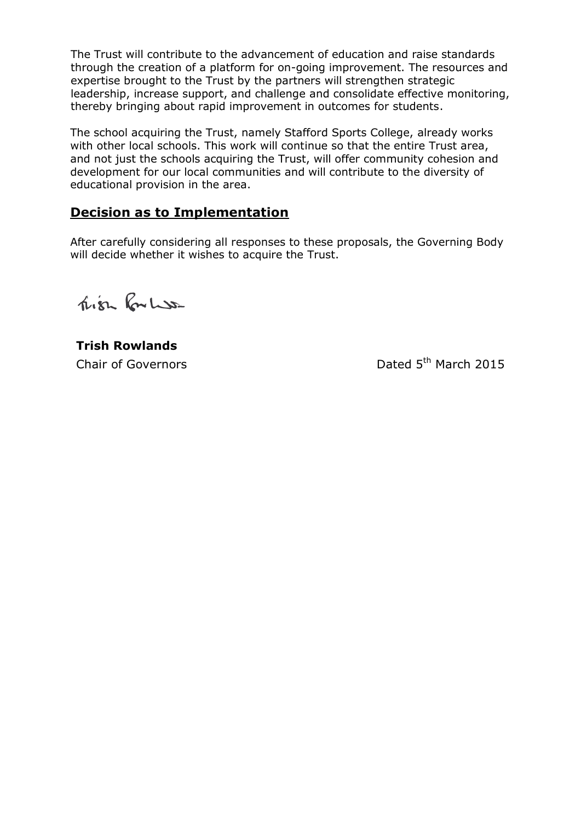The Trust will contribute to the advancement of education and raise standards through the creation of a platform for on-going improvement. The resources and expertise brought to the Trust by the partners will strengthen strategic leadership, increase support, and challenge and consolidate effective monitoring, thereby bringing about rapid improvement in outcomes for students.

The school acquiring the Trust, namely Stafford Sports College, already works with other local schools. This work will continue so that the entire Trust area, and not just the schools acquiring the Trust, will offer community cohesion and development for our local communities and will contribute to the diversity of educational provision in the area.

# **Decision as to Implementation**

After carefully considering all responses to these proposals, the Governing Body will decide whether it wishes to acquire the Trust.

Trien Rouless

**Trish Rowlands** Chair of Governors **Dated 5th March 2015**